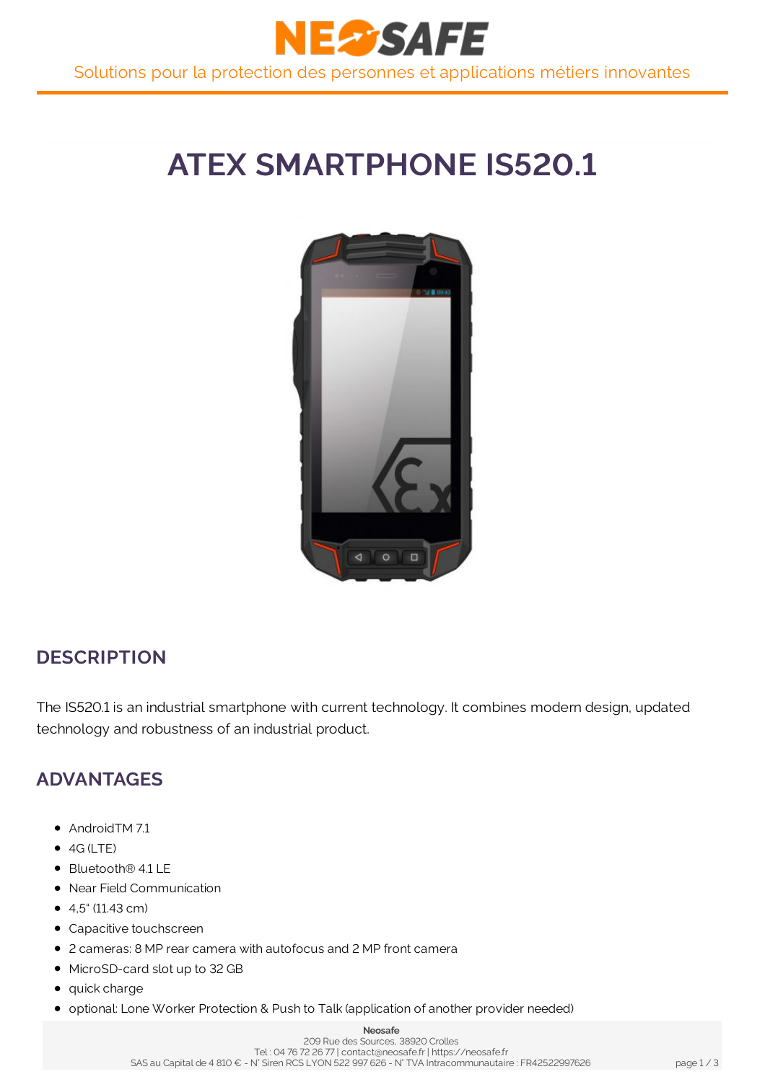

# **ATEX SMARTPHONE IS520.1**



### **DESCRIPTION**

The IS520.1 is an industrial smartphone with current technology. It combines modern design, updated technology and robustness of an industrial product.

### **ADVANTAGES**

- AndroidTM 7.1
- $\bullet$  4G (LTE)
- Bluetooth® 4.1 LE
- Near Field Communication
- $\bullet$  4.5" (11.43 cm)
- Capacitive touchscreen
- 2 cameras: 8 MP rear camera with autofocus and 2 MP front camera
- MicroSD-card slot up to 32 GB
- quick charge
- **optional: Lone Worker Protection & Push to Talk (application of another provider needed)**

#### **Neosafe**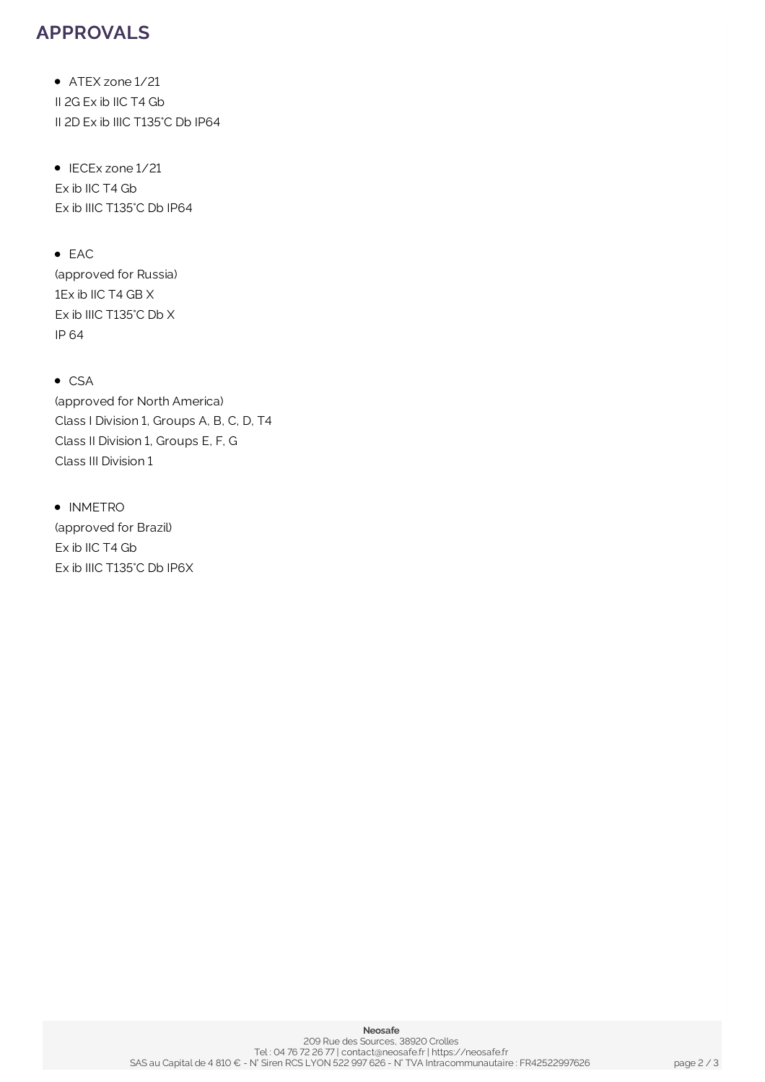### **APPROVALS**

• ATEX zone 1/21 II 2G Ex ib IIC T4 Gb II 2D Ex ib IIIC T135°C Db IP64

• IECEx zone 1/21 Ex ib IIC T4 Gb Ex ib IIIC T135°C Db IP64

• EAC (approved for Russia) 1Ex ib IIC T4 GB X Ex ib IIIC T135°C Db X IP 64

 $\bullet$  CSA (approved for North America) Class I Division 1, Groups A, B, C, D, T4 Class II Division 1, Groups E, F, G Class III Division 1

• INMETRO (approved for Brazil) Ex ib IIC T4 Gb Ex ib IIIC T135°C Db IP6X